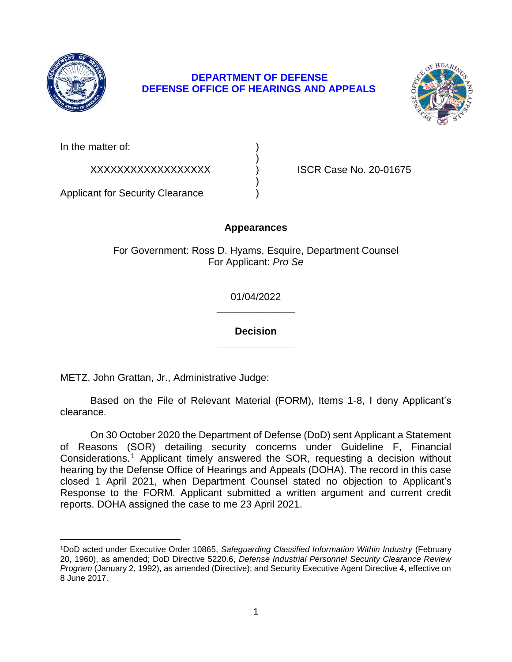

 $\overline{a}$ 

# **DEPARTMENT OF DEFENSE DEFENSE OFFICE OF HEARINGS AND APPEALS**

)

)



In the matter of:

XXXXXXXXXXXXXXXXXX ) ISCR Case No. 20-01675

Applicant for Security Clearance )

## **Appearances**

For Government: Ross D. Hyams, Esquire, Department Counsel For Applicant: *Pro Se* 

> **\_\_\_\_\_\_\_\_\_\_\_\_\_\_**  01/04/2022

> **\_\_\_\_\_\_\_\_\_\_\_\_\_\_ Decision**

METZ, John Grattan, Jr., Administrative Judge:

 Based on the File of Relevant Material (FORM), Items 1-8, I deny Applicant's clearance.

 On 30 October 2020 the Department of Defense (DoD) sent Applicant a Statement of Reasons (SOR) detailing security concerns under Guideline F, Financial Considerations.<sup>1</sup> Applicant timely answered the SOR, requesting a decision without hearing by the Defense Office of Hearings and Appeals (DOHA). The record in this case closed 1 April 2021, when Department Counsel stated no objection to Applicant's Response to the FORM. Applicant submitted a written argument and current credit reports. DOHA assigned the case to me 23 April 2021.

 20, 1960), as amended; DoD Directive 5220.6, *Defense Industrial Personnel Security Clearance Review Program* (January 2, 1992), as amended (Directive); and Security Executive Agent Directive 4, effective on 1DoD acted under Executive Order 10865, *Safeguarding Classified Information Within Industry* (February 8 June 2017.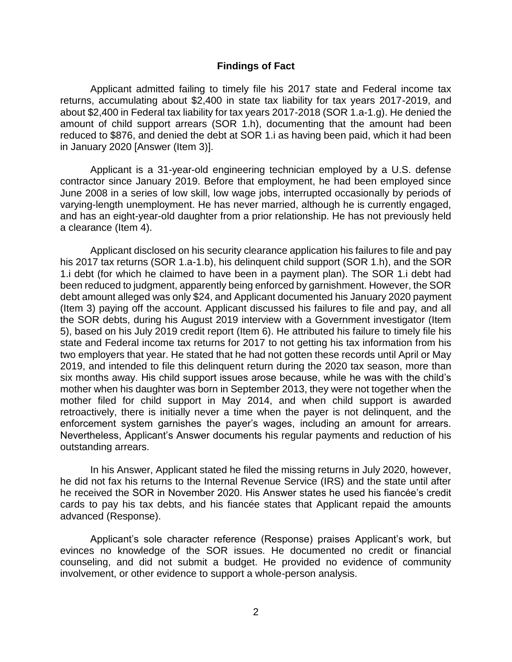#### **Findings of Fact**

 Applicant admitted failing to timely file his 2017 state and Federal income tax returns, accumulating about \$2,400 in state tax liability for tax years 2017-2019, and about \$2,400 in Federal tax liability for tax years 2017-2018 (SOR 1.a-1.g). He denied the amount of child support arrears (SOR 1.h), documenting that the amount had been reduced to \$876, and denied the debt at SOR 1.i as having been paid, which it had been in January 2020 [Answer (Item 3)].

 Applicant is a 31-year-old engineering technician employed by a U.S. defense contractor since January 2019. Before that employment, he had been employed since June 2008 in a series of low skill, low wage jobs, interrupted occasionally by periods of varying-length unemployment. He has never married, although he is currently engaged, and has an eight-year-old daughter from a prior relationship. He has not previously held a clearance (Item 4).

Applicant disclosed on his security clearance application his failures to file and pay his 2017 tax returns (SOR 1.a-1.b), his delinquent child support (SOR 1.h), and the SOR 1.i debt (for which he claimed to have been in a payment plan). The SOR 1.i debt had been reduced to judgment, apparently being enforced by garnishment. However, the SOR debt amount alleged was only \$24, and Applicant documented his January 2020 payment (Item 3) paying off the account. Applicant discussed his failures to file and pay, and all the SOR debts, during his August 2019 interview with a Government investigator (Item 5), based on his July 2019 credit report (Item 6). He attributed his failure to timely file his state and Federal income tax returns for 2017 to not getting his tax information from his two employers that year. He stated that he had not gotten these records until April or May 2019, and intended to file this delinquent return during the 2020 tax season, more than six months away. His child support issues arose because, while he was with the child's mother when his daughter was born in September 2013, they were not together when the mother filed for child support in May 2014, and when child support is awarded retroactively, there is initially never a time when the payer is not delinquent, and the enforcement system garnishes the payer's wages, including an amount for arrears. Nevertheless, Applicant's Answer documents his regular payments and reduction of his outstanding arrears.

 In his Answer, Applicant stated he filed the missing returns in July 2020, however, he did not fax his returns to the Internal Revenue Service (IRS) and the state until after he received the SOR in November 2020. His Answer states he used his fiancée's credit cards to pay his tax debts, and his fiancée states that Applicant repaid the amounts advanced (Response).

 evinces no knowledge of the SOR issues. He documented no credit or financial counseling, and did not submit a budget. He provided no evidence of community Applicant's sole character reference (Response) praises Applicant's work, but involvement, or other evidence to support a whole-person analysis.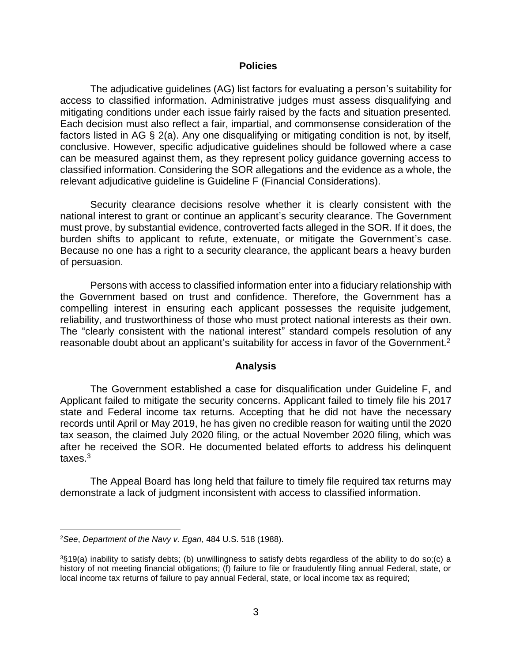#### **Policies**

 The adjudicative guidelines (AG) list factors for evaluating a person's suitability for access to classified information. Administrative judges must assess disqualifying and mitigating conditions under each issue fairly raised by the facts and situation presented. Each decision must also reflect a fair, impartial, and commonsense consideration of the factors listed in AG § 2(a). Any one disqualifying or mitigating condition is not, by itself, conclusive. However, specific adjudicative guidelines should be followed where a case can be measured against them, as they represent policy guidance governing access to classified information. Considering the SOR allegations and the evidence as a whole, the relevant adjudicative guideline is Guideline F (Financial Considerations).

 Security clearance decisions resolve whether it is clearly consistent with the national interest to grant or continue an applicant's security clearance. The Government must prove, by substantial evidence, controverted facts alleged in the SOR. If it does, the burden shifts to applicant to refute, extenuate, or mitigate the Government's case. Because no one has a right to a security clearance, the applicant bears a heavy burden of persuasion.

 Persons with access to classified information enter into a fiduciary relationship with the Government based on trust and confidence. Therefore, the Government has a compelling interest in ensuring each applicant possesses the requisite judgement, reliability, and trustworthiness of those who must protect national interests as their own. The "clearly consistent with the national interest" standard compels resolution of any reasonable doubt about an applicant's suitability for access in favor of the Government.<sup>2</sup>

#### **Analysis**

 The Government established a case for disqualification under Guideline F, and Applicant failed to mitigate the security concerns. Applicant failed to timely file his 2017 state and Federal income tax returns. Accepting that he did not have the necessary records until April or May 2019, he has given no credible reason for waiting until the 2020 tax season, the claimed July 2020 filing, or the actual November 2020 filing, which was after he received the SOR. He documented belated efforts to address his delinquent taxes.3

 The Appeal Board has long held that failure to timely file required tax returns may demonstrate a lack of judgment inconsistent with access to classified information.

 $\overline{a}$ 

<sup>2</sup>*See*, *Department of the Navy v. Egan*, 484 U.S. 518 (1988).

 3§19(a) inability to satisfy debts; (b) unwillingness to satisfy debts regardless of the ability to do so;(c) a history of not meeting financial obligations; (f) failure to file or fraudulently filing annual Federal, state, or local income tax returns of failure to pay annual Federal, state, or local income tax as required;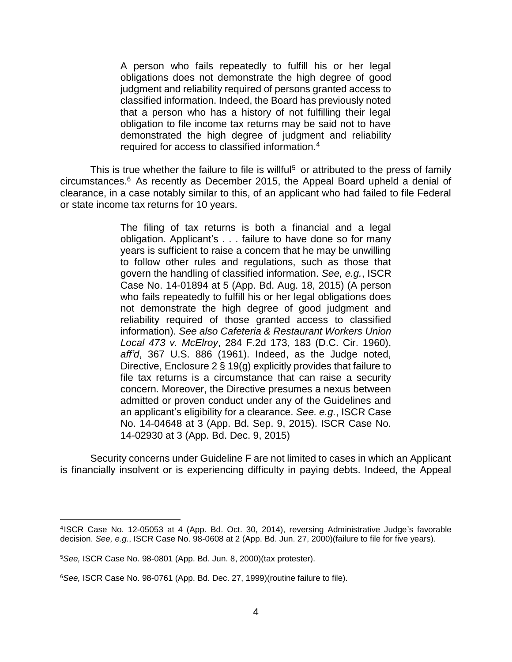A person who fails repeatedly to fulfill his or her legal obligations does not demonstrate the high degree of good judgment and reliability required of persons granted access to classified information. Indeed, the Board has previously noted that a person who has a history of not fulfilling their legal obligation to file income tax returns may be said not to have demonstrated the high degree of judgment and reliability required for access to classified information.4

This is true whether the failure to file is willful<sup>5</sup> or attributed to the press of family clearance, in a case notably similar to this, of an applicant who had failed to file Federal circumstances.6 As recently as December 2015, the Appeal Board upheld a denial of or state income tax returns for 10 years.

> The filing of tax returns is both a financial and a legal obligation. Applicant's . . . failure to have done so for many years is sufficient to raise a concern that he may be unwilling to follow other rules and regulations, such as those that govern the handling of classified information. *See, e.g.*, ISCR Case No. 14-01894 at 5 (App. Bd. Aug. 18, 2015) (A person who fails repeatedly to fulfill his or her legal obligations does not demonstrate the high degree of good judgment and reliability required of those granted access to classified information). *See also Cafeteria & Restaurant Workers Union Local 473 v. McElroy*, 284 F.2d 173, 183 (D.C. Cir. 1960), *aff'd*, 367 U.S. 886 (1961). Indeed, as the Judge noted, Directive, Enclosure 2 § 19(g) explicitly provides that failure to file tax returns is a circumstance that can raise a security concern. Moreover, the Directive presumes a nexus between admitted or proven conduct under any of the Guidelines and an applicant's eligibility for a clearance. *See. e.g.*, ISCR Case No. 14-04648 at 3 (App. Bd. Sep. 9, 2015). ISCR Case No. 14-02930 at 3 (App. Bd. Dec. 9, 2015)

 Security concerns under Guideline F are not limited to cases in which an Applicant is financially insolvent or is experiencing difficulty in paying debts. Indeed, the Appeal

 $\overline{a}$ 

 4ISCR Case No. 12-05053 at 4 (App. Bd. Oct. 30, 2014), reversing Administrative Judge's favorable decision. *See, e.g.*, ISCR Case No. 98-0608 at 2 (App. Bd. Jun. 27, 2000)(failure to file for five years).

<sup>5</sup>*See,* ISCR Case No. 98-0801 (App. Bd. Jun. 8, 2000)(tax protester).

<sup>6</sup>*See,* ISCR Case No. 98-0761 (App. Bd. Dec. 27, 1999)(routine failure to file).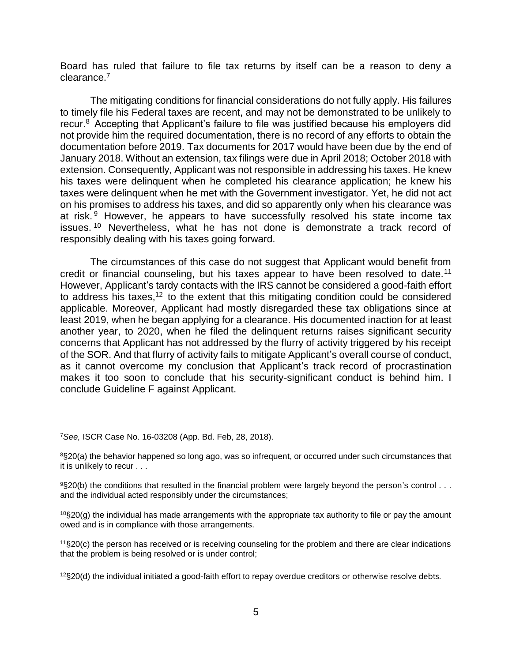Board has ruled that failure to file tax returns by itself can be a reason to deny a clearance.7

 The mitigating conditions for financial considerations do not fully apply. His failures recur.<sup>8</sup> Accepting that Applicant's failure to file was justified because his employers did not provide him the required documentation, there is no record of any efforts to obtain the documentation before 2019. Tax documents for 2017 would have been due by the end of January 2018. Without an extension, tax filings were due in April 2018; October 2018 with extension. Consequently, Applicant was not responsible in addressing his taxes. He knew his taxes were delinquent when he completed his clearance application; he knew his taxes were delinquent when he met with the Government investigator. Yet, he did not act on his promises to address his taxes, and did so apparently only when his clearance was at risk.<sup>9</sup> However, he appears to have successfully resolved his state income tax issues.<sup>10</sup> Nevertheless, what he has not done is demonstrate a track record of to timely file his Federal taxes are recent, and may not be demonstrated to be unlikely to responsibly dealing with his taxes going forward.

 The circumstances of this case do not suggest that Applicant would benefit from credit or financial counseling, but his taxes appear to have been resolved to date.<sup>11</sup> However, Applicant's tardy contacts with the IRS cannot be considered a good-faith effort to address his taxes,<sup>12</sup> to the extent that this mitigating condition could be considered applicable. Moreover, Applicant had mostly disregarded these tax obligations since at least 2019, when he began applying for a clearance. His documented inaction for at least another year, to 2020, when he filed the delinquent returns raises significant security concerns that Applicant has not addressed by the flurry of activity triggered by his receipt of the SOR. And that flurry of activity fails to mitigate Applicant's overall course of conduct, as it cannot overcome my conclusion that Applicant's track record of procrastination makes it too soon to conclude that his security-significant conduct is behind him. I conclude Guideline F against Applicant.

 $\overline{a}$ 

<sup>7</sup>*See,* ISCR Case No. 16-03208 (App. Bd. Feb, 28, 2018).

 8§20(a) the behavior happened so long ago, was so infrequent, or occurred under such circumstances that it is unlikely to recur . . .

 $9$ §20(b) the conditions that resulted in the financial problem were largely beyond the person's control  $\dots$ and the individual acted responsibly under the circumstances;

 $10$ §20(g) the individual has made arrangements with the appropriate tax authority to file or pay the amount owed and is in compliance with those arrangements.

 11§20(c) the person has received or is receiving counseling for the problem and there are clear indications that the problem is being resolved or is under control;

 $12$ §20(d) the individual initiated a good-faith effort to repay overdue creditors or otherwise resolve debts.